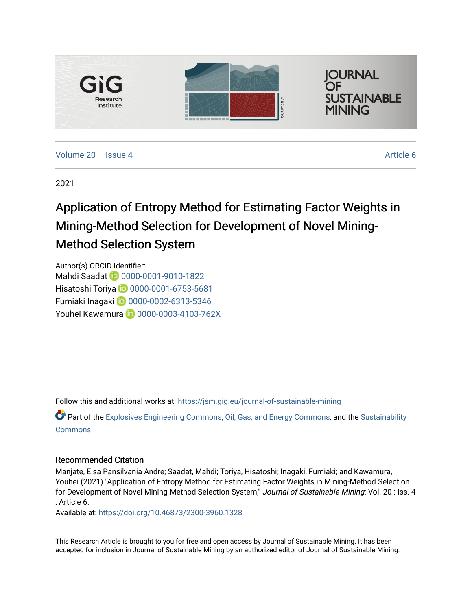

[Volume 20](https://jsm.gig.eu/journal-of-sustainable-mining/vol20) | [Issue 4](https://jsm.gig.eu/journal-of-sustainable-mining/vol20/iss4) Article 6

2021

# Application of Entropy Method for Estimating Factor Weights in Mining-Method Selection for Development of Novel Mining-Method Selection System

Author(s) ORCID Identifier: Mahdi Saadat **10** [0000-0001-9010-1822](https://orcid.org/0000-0001-9010-1822) Hisatoshi Toriya **D** 0000-0001-6753-5681 Fumiaki Inagaki [0000-0002-6313-5346](https://orcid.org/0000-0002-6313-5346) Youhei Kawamura **D** 0000-0003-4103-762X

Follow this and additional works at: [https://jsm.gig.eu/journal-of-sustainable-mining](https://jsm.gig.eu/journal-of-sustainable-mining?utm_source=jsm.gig.eu%2Fjournal-of-sustainable-mining%2Fvol20%2Fiss4%2F6&utm_medium=PDF&utm_campaign=PDFCoverPages) 

Part of the [Explosives Engineering Commons,](https://network.bepress.com/hgg/discipline/1401?utm_source=jsm.gig.eu%2Fjournal-of-sustainable-mining%2Fvol20%2Fiss4%2F6&utm_medium=PDF&utm_campaign=PDFCoverPages) [Oil, Gas, and Energy Commons](https://network.bepress.com/hgg/discipline/171?utm_source=jsm.gig.eu%2Fjournal-of-sustainable-mining%2Fvol20%2Fiss4%2F6&utm_medium=PDF&utm_campaign=PDFCoverPages), and the [Sustainability](https://network.bepress.com/hgg/discipline/1031?utm_source=jsm.gig.eu%2Fjournal-of-sustainable-mining%2Fvol20%2Fiss4%2F6&utm_medium=PDF&utm_campaign=PDFCoverPages)  [Commons](https://network.bepress.com/hgg/discipline/1031?utm_source=jsm.gig.eu%2Fjournal-of-sustainable-mining%2Fvol20%2Fiss4%2F6&utm_medium=PDF&utm_campaign=PDFCoverPages)

## Recommended Citation

Manjate, Elsa Pansilvania Andre; Saadat, Mahdi; Toriya, Hisatoshi; Inagaki, Fumiaki; and Kawamura, Youhei (2021) "Application of Entropy Method for Estimating Factor Weights in Mining-Method Selection for Development of Novel Mining-Method Selection System," Journal of Sustainable Mining: Vol. 20 : Iss. 4 , Article 6.

Available at:<https://doi.org/10.46873/2300-3960.1328>

This Research Article is brought to you for free and open access by Journal of Sustainable Mining. It has been accepted for inclusion in Journal of Sustainable Mining by an authorized editor of Journal of Sustainable Mining.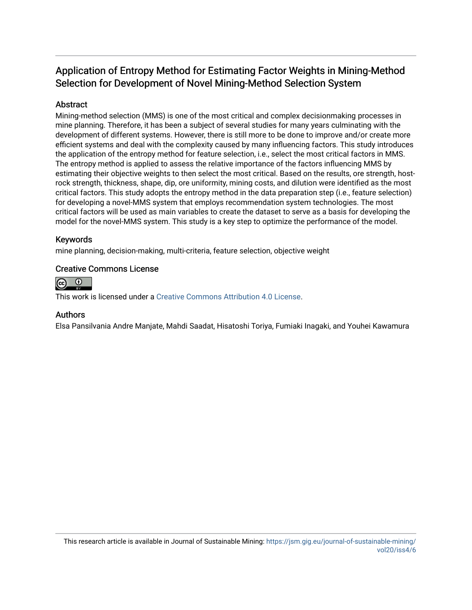## Application of Entropy Method for Estimating Factor Weights in Mining-Method Selection for Development of Novel Mining-Method Selection System

## Abstract

Mining-method selection (MMS) is one of the most critical and complex decisionmaking processes in mine planning. Therefore, it has been a subject of several studies for many years culminating with the development of different systems. However, there is still more to be done to improve and/or create more efficient systems and deal with the complexity caused by many influencing factors. This study introduces the application of the entropy method for feature selection, i.e., select the most critical factors in MMS. The entropy method is applied to assess the relative importance of the factors influencing MMS by estimating their objective weights to then select the most critical. Based on the results, ore strength, hostrock strength, thickness, shape, dip, ore uniformity, mining costs, and dilution were identified as the most critical factors. This study adopts the entropy method in the data preparation step (i.e., feature selection) for developing a novel-MMS system that employs recommendation system technologies. The most critical factors will be used as main variables to create the dataset to serve as a basis for developing the model for the novel-MMS system. This study is a key step to optimize the performance of the model.

## Keywords

mine planning, decision-making, multi-criteria, feature selection, objective weight

## Creative Commons License



This work is licensed under a [Creative Commons Attribution 4.0 License](http://creativecommons.org/licenses/by/4.0/).

## Authors

Elsa Pansilvania Andre Manjate, Mahdi Saadat, Hisatoshi Toriya, Fumiaki Inagaki, and Youhei Kawamura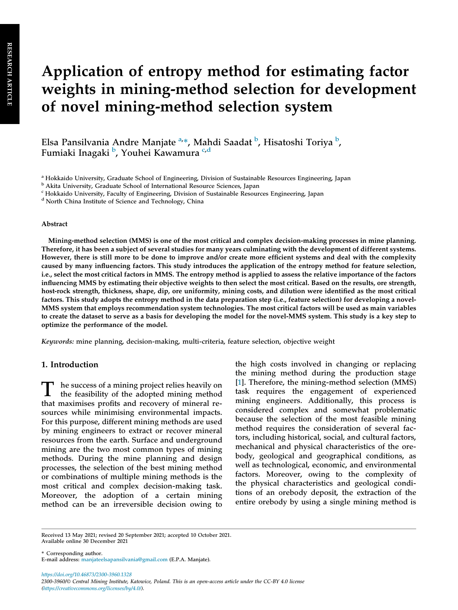# Application of entropy method for estimating factor weights in mining-method selection for development of novel mining-method selection system

Elsa Pansilvania Andre Manjate <sup>a,</sup>\*, Mahdi Saadat <sup>b</sup>, Hisatoshi Toriya <sup>b</sup>, Fumiaki Inagaki <sup>b</sup>, Youhei Kawamura <sup>c,d</sup>

<sup>d</sup> North China Institute of Science and Technology, China

#### Abstract

Mining-method selection (MMS) is one of the most critical and complex decision-making processes in mine planning. Therefore, it has been a subject of several studies for many years culminating with the development of different systems. However, there is still more to be done to improve and/or create more efficient systems and deal with the complexity caused by many influencing factors. This study introduces the application of the entropy method for feature selection, i.e., select the most critical factors in MMS. The entropy method is applied to assess the relative importance of the factors influencing MMS by estimating their objective weights to then select the most critical. Based on the results, ore strength, host-rock strength, thickness, shape, dip, ore uniformity, mining costs, and dilution were identified as the most critical factors. This study adopts the entropy method in the data preparation step (i.e., feature selection) for developing a novel-MMS system that employs recommendation system technologies. The most critical factors will be used as main variables to create the dataset to serve as a basis for developing the model for the novel-MMS system. This study is a key step to optimize the performance of the model.

Keywords: mine planning, decision-making, multi-criteria, feature selection, objective weight

#### 1. Introduction

T he success of a mining project relies heavily on<br>the feasibility of the adopted mining method the feasibility of the adopted mining method that maximises profits and recovery of mineral resources while minimising environmental impacts. For this purpose, different mining methods are used by mining engineers to extract or recover mineral resources from the earth. Surface and underground mining are the two most common types of mining methods. During the mine planning and design processes, the selection of the best mining method or combinations of multiple mining methods is the most critical and complex decision-making task. Moreover, the adoption of a certain mining method can be an irreversible decision owing to

the high costs involved in changing or replacing the mining method during the production stage [\[1](#page-14-0)]. Therefore, the mining-method selection (MMS) task requires the engagement of experienced mining engineers. Additionally, this process is considered complex and somewhat problematic because the selection of the most feasible mining method requires the consideration of several factors, including historical, social, and cultural factors, mechanical and physical characteristics of the orebody, geological and geographical conditions, as well as technological, economic, and environmental factors. Moreover, owing to the complexity of the physical characteristics and geological conditions of an orebody deposit, the extraction of the entire orebody by using a single mining method is

\* Corresponding author. E-mail address: manjateelsapansilvania@gmail.com (E.P.A. Manjate).

https://doi.org/10.46873/2300-3960.1328 2300-3960/© Central Mining Institute, Katowice, Poland. This is an open-access article under the CC-BY 4.0 license (https://creativecommons.org/licenses/by/4.0/).

<sup>a</sup> Hokkaido University, Graduate School of Engineering, Division of Sustainable Resources Engineering, Japan

<sup>b</sup> Akita University, Graduate School of International Resource Sciences, Japan

<sup>c</sup> Hokkaido University, Faculty of Engineering, Division of Sustainable Resources Engineering, Japan

Received 13 May 2021; revised 20 September 2021; accepted 10 October 2021. Available online 30 December 2021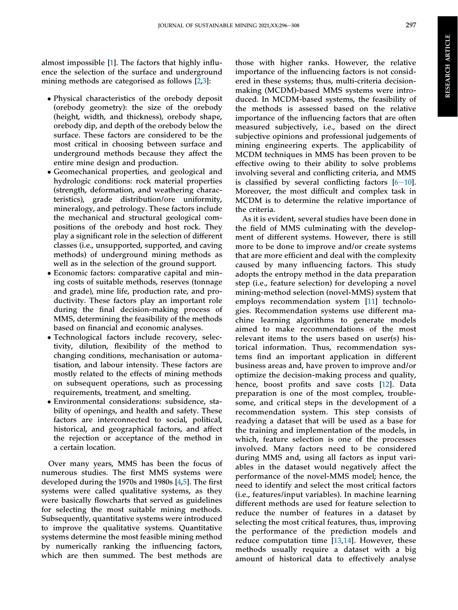almost impossible [[1\]](#page-14-0). The factors that highly influence the selection of the surface and underground mining methods are categorised as follows [\[2](#page-14-0),[3\]](#page-14-0):

- Physical characteristics of the orebody deposit (orebody geometry): the size of the orebody (height, width, and thickness), orebody shape, orebody dip, and depth of the orebody below the surface. These factors are considered to be the most critical in choosing between surface and underground methods because they affect the entire mine design and production.
- Geomechanical properties, and geological and hydrologic conditions: rock material properties (strength, deformation, and weathering characteristics), grade distribution/ore uniformity, mineralogy, and petrology. These factors include the mechanical and structural geological compositions of the orebody and host rock. They play a significant role in the selection of different classes (i.e., unsupported, supported, and caving methods) of underground mining methods as well as in the selection of the ground support.
- Economic factors: comparative capital and mining costs of suitable methods, reserves (tonnage and grade), mine life, production rate, and productivity. These factors play an important role during the final decision-making process of MMS, determining the feasibility of the methods based on financial and economic analyses.
- Technological factors include recovery, selectivity, dilution, flexibility of the method to changing conditions, mechanisation or automatisation, and labour intensity. These factors are mostly related to the effects of mining methods on subsequent operations, such as processing requirements, treatment, and smelting.
- Environmental considerations: subsidence, stability of openings, and health and safety. These factors are interconnected to social, political, historical, and geographical factors, and affect the rejection or acceptance of the method in a certain location.

Over many years, MMS has been the focus of numerous studies. The first MMS systems were developed during the 1970s and 1980s [[4,5](#page-14-0)]. The first systems were called qualitative systems, as they were basically flowcharts that served as guidelines for selecting the most suitable mining methods. Subsequently, quantitative systems were introduced to improve the qualitative systems. Quantitative systems determine the most feasible mining method by numerically ranking the influencing factors, which are then summed. The best methods are

those with higher ranks. However, the relative importance of the influencing factors is not considered in these systems; thus, multi-criteria decisionmaking (MCDM)-based MMS systems were introduced. In MCDM-based systems, the feasibility of the methods is assessed based on the relative importance of the influencing factors that are often measured subjectively, i.e., based on the direct subjective opinions and professional judgements of mining engineering experts. The applicability of MCDM techniques in MMS has been proven to be effective owing to their ability to solve problems involving several and conflicting criteria, and MMS is classified by several conflicting factors  $[6-10]$  $[6-10]$  $[6-10]$ . Moreover, the most difficult and complex task in MCDM is to determine the relative importance of the criteria.

As it is evident, several studies have been done in the field of MMS culminating with the development of different systems. However, there is still more to be done to improve and/or create systems that are more efficient and deal with the complexity caused by many influencing factors. This study adopts the entropy method in the data preparation step (i.e., feature selection) for developing a novel mining-method selection (novel-MMS) system that employs recommendation system [[11](#page-14-0)] technologies. Recommendation systems use different machine learning algorithms to generate models aimed to make recommendations of the most relevant items to the users based on user(s) historical information. Thus, recommendation systems find an important application in different business areas and, have proven to improve and/or optimize the decision-making process and quality, hence, boost profits and save costs [[12\]](#page-14-0). Data preparation is one of the most complex, troublesome, and critical steps in the development of a recommendation system. This step consists of readying a dataset that will be used as a base for the training and implementation of the models, in which, feature selection is one of the processes involved. Many factors need to be considered during MMS and, using all factors as input variables in the dataset would negatively affect the performance of the novel-MMS model; hence, the need to identify and select the most critical factors (i.e., features/input variables). In machine learning different methods are used for feature selection to reduce the number of features in a dataset by selecting the most critical features, thus, improving the performance of the prediction models and reduce computation time [\[13](#page-14-0),[14](#page-14-0)]. However, these methods usually require a dataset with a big amount of historical data to effectively analyse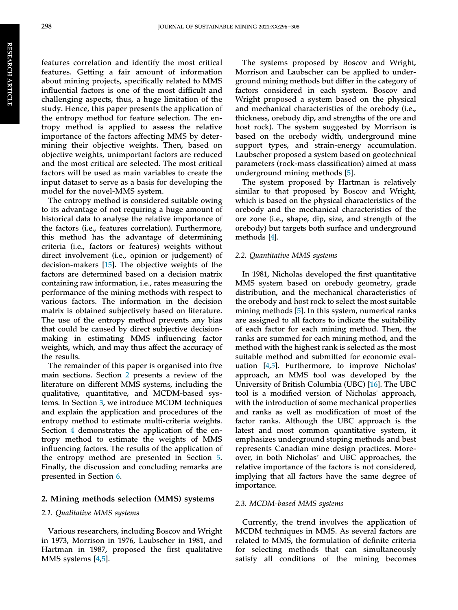features correlation and identify the most critical features. Getting a fair amount of information about mining projects, specifically related to MMS influential factors is one of the most difficult and challenging aspects, thus, a huge limitation of the study. Hence, this paper presents the application of the entropy method for feature selection. The entropy method is applied to assess the relative importance of the factors affecting MMS by determining their objective weights. Then, based on objective weights, unimportant factors are reduced and the most critical are selected. The most critical factors will be used as main variables to create the input dataset to serve as a basis for developing the model for the novel-MMS system.

The entropy method is considered suitable owing to its advantage of not requiring a huge amount of historical data to analyse the relative importance of the factors (i.e., features correlation). Furthermore, this method has the advantage of determining criteria (i.e., factors or features) weights without direct involvement (i.e., opinion or judgement) of decision-makers [[15\]](#page-14-0). The objective weights of the factors are determined based on a decision matrix containing raw information, i.e., rates measuring the performance of the mining methods with respect to various factors. The information in the decision matrix is obtained subjectively based on literature. The use of the entropy method prevents any bias that could be caused by direct subjective decisionmaking in estimating MMS influencing factor weights, which, and may thus affect the accuracy of the results.

The remainder of this paper is organised into five main sections. Section 2 presents a review of the literature on different MMS systems, including the qualitative, quantitative, and MCDM-based systems. In Section [3](#page-5-0), we introduce MCDM techniques and explain the application and procedures of the entropy method to estimate multi-criteria weights. Section [4](#page-7-0) demonstrates the application of the entropy method to estimate the weights of MMS influencing factors. The results of the application of the entropy method are presented in Section [5.](#page-10-0) Finally, the discussion and concluding remarks are presented in Section [6.](#page-11-0)

#### 2. Mining methods selection (MMS) systems

#### 2.1. Qualitative MMS systems

Various researchers, including Boscov and Wright in 1973, Morrison in 1976, Laubscher in 1981, and Hartman in 1987, proposed the first qualitative MMS systems [[4,5](#page-14-0)].

The systems proposed by Boscov and Wright, Morrison and Laubscher can be applied to underground mining methods but differ in the category of factors considered in each system. Boscov and Wright proposed a system based on the physical and mechanical characteristics of the orebody (i.e., thickness, orebody dip, and strengths of the ore and host rock). The system suggested by Morrison is based on the orebody width, underground mine support types, and strain-energy accumulation. Laubscher proposed a system based on geotechnical parameters (rock-mass classification) aimed at mass underground mining methods [[5](#page-14-0)].

The system proposed by Hartman is relatively similar to that proposed by Boscov and Wright, which is based on the physical characteristics of the orebody and the mechanical characteristics of the ore zone (i.e., shape, dip, size, and strength of the orebody) but targets both surface and underground methods [[4\]](#page-14-0).

#### 2.2. Quantitative MMS systems

In 1981, Nicholas developed the first quantitative MMS system based on orebody geometry, grade distribution, and the mechanical characteristics of the orebody and host rock to select the most suitable mining methods [[5\]](#page-14-0). In this system, numerical ranks are assigned to all factors to indicate the suitability of each factor for each mining method. Then, the ranks are summed for each mining method, and the method with the highest rank is selected as the most suitable method and submitted for economic evaluation [[4,5](#page-14-0)]. Furthermore, to improve Nicholas' approach, an MMS tool was developed by the University of British Columbia (UBC) [\[16](#page-14-0)]. The UBC tool is a modified version of Nicholas' approach, with the introduction of some mechanical properties and ranks as well as modification of most of the factor ranks. Although the UBC approach is the latest and most common quantitative system, it emphasizes underground stoping methods and best represents Canadian mine design practices. Moreover, in both Nicholas' and UBC approaches, the relative importance of the factors is not considered, implying that all factors have the same degree of importance.

#### 2.3. MCDM-based MMS systems

Currently, the trend involves the application of MCDM techniques in MMS. As several factors are related to MMS, the formulation of definite criteria for selecting methods that can simultaneously satisfy all conditions of the mining becomes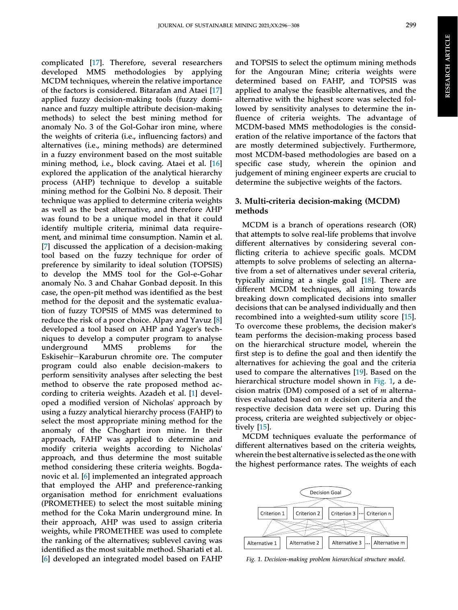<span id="page-5-0"></span>complicated [[17\]](#page-14-0). Therefore, several researchers developed MMS methodologies by applying MCDM techniques, wherein the relative importance of the factors is considered. Bitarafan and Ataei [[17\]](#page-14-0) applied fuzzy decision-making tools (fuzzy dominance and fuzzy multiple attribute decision-making methods) to select the best mining method for anomaly No. 3 of the Gol-Gohar iron mine, where the weights of criteria (i.e., influencing factors) and alternatives (i.e., mining methods) are determined in a fuzzy environment based on the most suitable mining method, i.e., block caving. Ataei et al. [[16\]](#page-14-0) explored the application of the analytical hierarchy process (AHP) technique to develop a suitable mining method for the Golbini No. 8 deposit. Their technique was applied to determine criteria weights as well as the best alternative, and therefore AHP was found to be a unique model in that it could identify multiple criteria, minimal data requirement, and minimal time consumption. Namin et al. [\[7](#page-14-0)] discussed the application of a decision-making tool based on the fuzzy technique for order of preference by similarity to ideal solution (TOPSIS) to develop the MMS tool for the Gol-e-Gohar anomaly No. 3 and Chahar Gonbad deposit. In this case, the open-pit method was identified as the best method for the deposit and the systematic evaluation of fuzzy TOPSIS of MMS was determined to reduce the risk of a poor choice. Alpay and Yavuz [[8\]](#page-14-0) developed a tool based on AHP and Yager's techniques to develop a computer program to analyse underground MMS problems for the Eskisehir-Karaburun chromite ore. The computer program could also enable decision-makers to perform sensitivity analyses after selecting the best method to observe the rate proposed method according to criteria weights. Azadeh et al. [[1\]](#page-14-0) developed a modified version of Nicholas' approach by using a fuzzy analytical hierarchy process (FAHP) to select the most appropriate mining method for the anomaly of the Choghart iron mine. In their approach, FAHP was applied to determine and modify criteria weights according to Nicholas' approach, and thus determine the most suitable method considering these criteria weights. Bogdanovic et al. [[6\]](#page-14-0) implemented an integrated approach that employed the AHP and preference-ranking organisation method for enrichment evaluations (PROMETHEE) to select the most suitable mining method for the Coka Marin underground mine. In their approach, AHP was used to assign criteria weights, while PROMETHEE was used to complete the ranking of the alternatives; sublevel caving was identified as the most suitable method. Shariati et al. [\[6](#page-14-0)] developed an integrated model based on FAHP

and TOPSIS to select the optimum mining methods for the Angouran Mine; criteria weights were determined based on FAHP, and TOPSIS was applied to analyse the feasible alternatives, and the alternative with the highest score was selected followed by sensitivity analyses to determine the influence of criteria weights. The advantage of MCDM-based MMS methodologies is the consideration of the relative importance of the factors that are mostly determined subjectively. Furthermore, most MCDM-based methodologies are based on a specific case study, wherein the opinion and judgement of mining engineer experts are crucial to determine the subjective weights of the factors.

### 3. Multi-criteria decision-making (MCDM) methods

MCDM is a branch of operations research (OR) that attempts to solve real-life problems that involve different alternatives by considering several conflicting criteria to achieve specific goals. MCDM attempts to solve problems of selecting an alternative from a set of alternatives under several criteria, typically aiming at a single goal [\[18](#page-14-0)]. There are different MCDM techniques, all aiming towards breaking down complicated decisions into smaller decisions that can be analysed individually and then recombined into a weighted-sum utility score [[15\]](#page-14-0). To overcome these problems, the decision maker's team performs the decision-making process based on the hierarchical structure model, wherein the first step is to define the goal and then identify the alternatives for achieving the goal and the criteria used to compare the alternatives [[19\]](#page-14-0). Based on the hierarchical structure model shown in Fig. 1, a decision matrix (DM) composed of a set of  $m$  alternatives evaluated based on  $n$  decision criteria and the respective decision data were set up. During this process, criteria are weighted subjectively or objectively [\[15](#page-14-0)].

MCDM techniques evaluate the performance of different alternatives based on the criteria weights, wherein the best alternative is selected as the one with the highest performance rates. The weights of each



Fig. 1. Decision-making problem hierarchical structure model.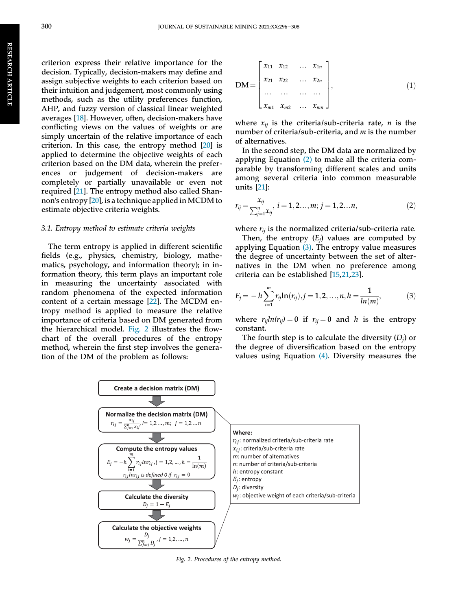<span id="page-6-0"></span>criterion express their relative importance for the decision. Typically, decision-makers may define and assign subjective weights to each criterion based on their intuition and judgement, most commonly using methods, such as the utility preferences function, AHP, and fuzzy version of classical linear weighted averages [\[18\]](#page-14-0). However, often, decision-makers have conflicting views on the values of weights or are simply uncertain of the relative importance of each criterion. In this case, the entropy method [[20\]](#page-14-0) is applied to determine the objective weights of each criterion based on the DM data, wherein the preferences or judgement of decision-makers are completely or partially unavailable or even not required [[21\]](#page-14-0). The entropy method also called Shannon's entropy [[20\]](#page-14-0), is a technique applied in MCDM to estimate objective criteria weights.

#### 3.1. Entropy method to estimate criteria weights

The term entropy is applied in different scientific fields (e.g., physics, chemistry, biology, mathematics, psychology, and information theory); in information theory, this term plays an important role in measuring the uncertainty associated with random phenomena of the expected information content of a certain message [\[22](#page-14-0)]. The MCDM entropy method is applied to measure the relative importance of criteria based on DM generated from the hierarchical model. Fig. 2 illustrates the flowchart of the overall procedures of the entropy method, wherein the first step involves the generation of the DM of the problem as follows:

$$
DM = \begin{bmatrix} x_{11} & x_{12} & \dots & x_{1n} \\ x_{21} & x_{22} & \dots & x_{2n} \\ \dots & \dots & \dots & \dots \\ x_{m1} & x_{m2} & \dots & x_{mn} \end{bmatrix},
$$
(1)

where  $x_{ii}$  is the criteria/sub-criteria rate, *n* is the number of criteria/sub-criteria, and m is the number of alternatives.

In the second step, the DM data are normalized by applying Equation (2) to make all the criteria comparable by transforming different scales and units among several criteria into common measurable units [\[21](#page-14-0)]:

$$
r_{ij} = \frac{x_{ij}}{\sum_{j=1}^{n} x_{ij}}, \ i = 1, 2..., m; \ j = 1, 2...n,
$$
 (2)

where  $r_{ij}$  is the normalized criteria/sub-criteria rate.

Then, the entropy  $(E_i)$  values are computed by applying Equation  $(3)$ . The entropy value measures the degree of uncertainty between the set of alternatives in the DM when no preference among criteria can be established [\[15](#page-14-0),[21,23](#page-14-0)].

$$
E_j = -h \sum_{i=1}^{m} r_{ij} \ln(r_{ij}), j = 1, 2, ..., n, h = \frac{1}{\ln(m)},
$$
 (3)

where  $r_{ij}ln(r_{ij}) = 0$  if  $r_{ij} = 0$  and h is the entropy constant.

The fourth step is to calculate the diversity  $(D_i)$  or the degree of diversification based on the entropy values using Equation  $(4)$ . Diversity measures the



Fig. 2. Procedures of the entropy method.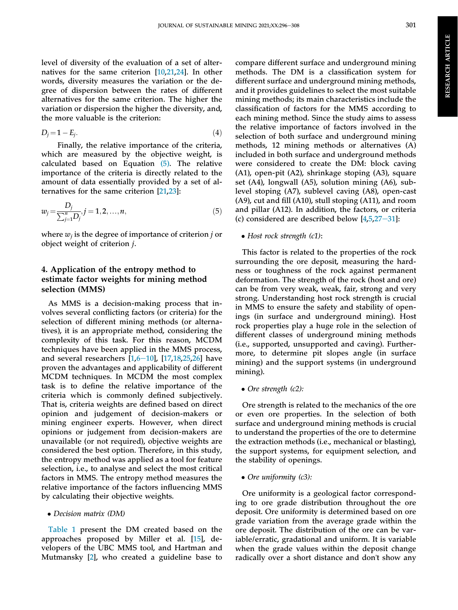<span id="page-7-0"></span>level of diversity of the evaluation of a set of alternatives for the same criterion [[10,21,24](#page-14-0)]. In other words, diversity measures the variation or the degree of dispersion between the rates of different alternatives for the same criterion. The higher the variation or dispersion the higher the diversity, and, the more valuable is the criterion:

$$
D_j = 1 - E_j. \tag{4}
$$

Finally, the relative importance of the criteria, which are measured by the objective weight, is calculated based on Equation  $(5)$ . The relative importance of the criteria is directly related to the amount of data essentially provided by a set of alternatives for the same criterion [\[21](#page-14-0),[23\]](#page-14-0):

$$
w_j = \frac{D_j}{\sum_{j=1}^n D_j}, j = 1, 2, ..., n,
$$
\n(5)

where  $w_i$  is the degree of importance of criterion j or object weight of criterion j.

### 4. Application of the entropy method to estimate factor weights for mining method selection (MMS)

As MMS is a decision-making process that involves several conflicting factors (or criteria) for the selection of different mining methods (or alternatives), it is an appropriate method, considering the complexity of this task. For this reason, MCDM techniques have been applied in the MMS process, and several researchers  $[1,6-10]$  $[1,6-10]$  $[1,6-10]$  $[1,6-10]$  $[1,6-10]$  $[1,6-10]$ ,  $[17,18,25,26]$  $[17,18,25,26]$  $[17,18,25,26]$  $[17,18,25,26]$  $[17,18,25,26]$  have proven the advantages and applicability of different MCDM techniques. In MCDM the most complex task is to define the relative importance of the criteria which is commonly defined subjectively. That is, criteria weights are defined based on direct opinion and judgement of decision-makers or mining engineer experts. However, when direct opinions or judgement from decision-makers are unavailable (or not required), objective weights are considered the best option. Therefore, in this study, the entropy method was applied as a tool for feature selection, i.e., to analyse and select the most critical factors in MMS. The entropy method measures the relative importance of the factors influencing MMS by calculating their objective weights.

Decision matrix (DM)

[Table 1](#page-8-0) present the DM created based on the approaches proposed by Miller et al. [\[15](#page-14-0)], developers of the UBC MMS tool, and Hartman and Mutmansky [[2\]](#page-14-0), who created a guideline base to compare different surface and underground mining methods. The DM is a classification system for different surface and underground mining methods, and it provides guidelines to select the most suitable mining methods; its main characteristics include the classification of factors for the MMS according to each mining method. Since the study aims to assess the relative importance of factors involved in the selection of both surface and underground mining methods, 12 mining methods or alternatives (A) included in both surface and underground methods were considered to create the DM: block caving (A1), open-pit (A2), shrinkage stoping (A3), square set (A4), longwall (A5), solution mining (A6), sublevel stoping (A7), sublevel caving (A8), open-cast (A9), cut and fill (A10), stull stoping (A11), and room and pillar (A12). In addition, the factors, or criteria (c) considered are described below  $[4,5,27-31]$  $[4,5,27-31]$  $[4,5,27-31]$  $[4,5,27-31]$  $[4,5,27-31]$ :

#### • Host rock strength (c1):

This factor is related to the properties of the rock surrounding the ore deposit, measuring the hardness or toughness of the rock against permanent deformation. The strength of the rock (host and ore) can be from very weak, weak, fair, strong and very strong. Understanding host rock strength is crucial in MMS to ensure the safety and stability of openings (in surface and underground mining). Host rock properties play a huge role in the selection of different classes of underground mining methods (i.e., supported, unsupported and caving). Furthermore, to determine pit slopes angle (in surface mining) and the support systems (in underground mining).

• Ore strength (c2):

Ore strength is related to the mechanics of the ore or even ore properties. In the selection of both surface and underground mining methods is crucial to understand the properties of the ore to determine the extraction methods (i.e., mechanical or blasting), the support systems, for equipment selection, and the stability of openings.

Ore uniformity (c3):

Ore uniformity is a geological factor corresponding to ore grade distribution throughout the ore deposit. Ore uniformity is determined based on ore grade variation from the average grade within the ore deposit. The distribution of the ore can be variable/erratic, gradational and uniform. It is variable when the grade values within the deposit change radically over a short distance and don't show any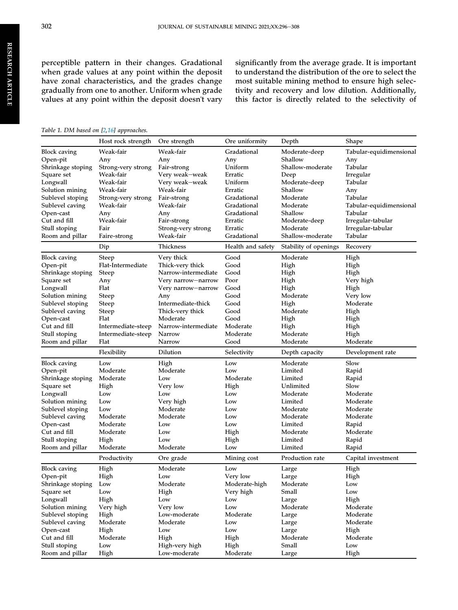<span id="page-8-0"></span>perceptible pattern in their changes. Gradational when grade values at any point within the deposit have zonal characteristics, and the grades change gradually from one to another. Uniform when grade values at any point within the deposit doesn't vary significantly from the average grade. It is important to understand the distribution of the ore to select the most suitable mining method to ensure high selectivity and recovery and low dilution. Additionally, this factor is directly related to the selectivity of

#### Table 1. DM based on [\[2,16\]](#page-14-0) approaches.

|                     | Host rock strength | Ore strength        | Ore uniformity    | Depth                 | Shape                   |
|---------------------|--------------------|---------------------|-------------------|-----------------------|-------------------------|
| <b>Block caving</b> | Weak-fair          | Weak-fair           | Gradational       | Moderate-deep         | Tabular-equidimensional |
| Open-pit            | Any                | Any                 | Any               | Shallow               | Any                     |
| Shrinkage stoping   | Strong-very strong | Fair-strong         | Uniform           | Shallow-moderate      | Tabular                 |
| Square set          | Weak-fair          | Very weak-weak      | Erratic           | Deep                  | Irregular               |
| Longwall            | Weak-fair          | Very weak-weak      | Uniform           | Moderate-deep         | Tabular                 |
| Solution mining     | Weak-fair          | Weak-fair           | Erratic           | Shallow               | Any                     |
| Sublevel stoping    | Strong-very strong | Fair-strong         | Gradational       | Moderate              | Tabular                 |
| Sublevel caving     | Weak-fair          | Weak-fair           | Gradational       | Moderate              | Tabular-equidimensional |
| Open-cast           | Any                | Any                 | Gradational       | Shallow               | Tabular                 |
| Cut and fill        | Weak-fair          | Fair-strong         | Erratic           | Moderate-deep         | Irregular-tabular       |
| Stull stoping       | Fair               | Strong-very strong  | Erratic           | Moderate              | Irregular-tabular       |
| Room and pillar     | Faire-strong       | Weak-fair           | Gradational       | Shallow-moderate      | Tabular                 |
|                     | Dip                | Thickness           | Health and safety | Stability of openings | Recovery                |
| <b>Block caving</b> | Steep              | Very thick          | Good              | Moderate              | High                    |
| Open-pit            | Flat-Intermediate  | Thick-very thick    | Good              | High                  | High                    |
| Shrinkage stoping   | Steep              | Narrow-intermediate | Good              | High                  | High                    |
| Square set          | Any                | Very narrow—narrow  | Poor              | High                  | Very high               |
| Longwall            | Flat               | Very narrow-narrow  | Good              | High                  | High                    |
| Solution mining     | Steep              | Any                 | Good              | Moderate              | Very low                |
| Sublevel stoping    | Steep              | Intermediate-thick  | Good              | High                  | Moderate                |
| Sublevel caving     | Steep              | Thick-very thick    | Good              | Moderate              | High                    |
| Open-cast           | Flat               | Moderate            | Good              | High                  | High                    |
| Cut and fill        | Intermediate-steep | Narrow-intermediate | Moderate          | High                  | High                    |
| Stull stoping       | Intermediate-steep | Narrow              | Moderate          | Moderate              | High                    |
| Room and pillar     | Flat               | <b>Narrow</b>       | Good              | Moderate              | Moderate                |
|                     | Flexibility        | Dilution            | Selectivity       | Depth capacity        | Development rate        |
| <b>Block caving</b> | Low                | High                | Low               | Moderate              | Slow                    |
| Open-pit            | Moderate           | Moderate            | Low               | Limited               | Rapid                   |
| Shrinkage stoping   | Moderate           | Low                 | Moderate          | Limited               | Rapid                   |
| Square set          | High               | Very low            | High              | Unlimited             | Slow                    |
| Longwall            | Low                | Low                 | Low               | Moderate              | Moderate                |
| Solution mining     | Low                | Very high           | Low               | Limited               | Moderate                |
| Sublevel stoping    | Low                | Moderate            | Low               | Moderate              | Moderate                |
| Sublevel caving     | Moderate           | Moderate            | Low               | Moderate              | Moderate                |
| Open-cast           | Moderate           | Low                 | Low               | Limited               | Rapid                   |
| Cut and fill        | Moderate           | Low                 | High              | Moderate              | Moderate                |
| Stull stoping       | High               | Low                 | High              | Limited               | Rapid                   |
| Room and pillar     | Moderate           | Moderate            | Low               | Limited               | Rapid                   |
|                     | Productivity       | Ore grade           | Mining cost       | Production rate       | Capital investment      |
| <b>Block caving</b> | High               | Moderate            | Low               | Large                 | High                    |
| Open-pit            | High               | Low                 | Very low          | Large                 | High                    |
| Shrinkage stoping   | Low                | Moderate            | Moderate-high     | Moderate              | Low                     |
| Square set          | Low                | High                | Very high         | Small                 | Low                     |
| Longwall            | High               | Low                 | Low               | Large                 | High                    |
| Solution mining     | Very high          | Very low            | Low               | Moderate              | Moderate                |
| Sublevel stoping    | High               | Low-moderate        | Moderate          | Large                 | Moderate                |
| Sublevel caving     | Moderate           | Moderate            | Low               | Large                 | Moderate                |
| Open-cast           | High               | Low                 | Low               | Large                 | High                    |
| Cut and fill        | Moderate           | High                | High              | Moderate              | Moderate                |
| Stull stoping       | Low                | High-very high      | High              | Small                 | Low                     |
| Room and pillar     | High               | Low-moderate        | Moderate          | Large                 | High                    |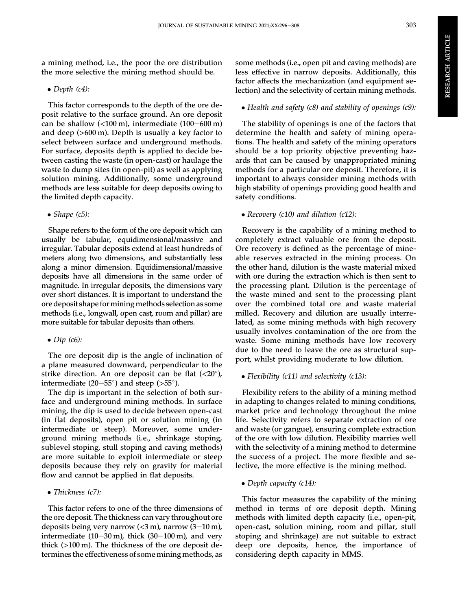a mining method, i.e., the poor the ore distribution the more selective the mining method should be.

 $\bullet$  Depth (c4):

This factor corresponds to the depth of the ore deposit relative to the surface ground. An ore deposit can be shallow  $\left($ <100 m), intermediate (100–600 m) and deep (>600 m). Depth is usually a key factor to select between surface and underground methods. For surface, deposits depth is applied to decide between casting the waste (in open-cast) or haulage the waste to dump sites (in open-pit) as well as applying solution mining. Additionally, some underground methods are less suitable for deep deposits owing to the limited depth capacity.

 $\bullet$  Shape (c5):

Shape refers to the form of the ore deposit which can usually be tabular, equidimensional/massive and irregular. Tabular deposits extend at least hundreds of meters along two dimensions, and substantially less along a minor dimension. Equidimensional/massive deposits have all dimensions in the same order of magnitude. In irregular deposits, the dimensions vary over short distances. It is important to understand the ore deposit shape forminingmethods selection as some methods (i.e., longwall, open cast, room and pillar) are more suitable for tabular deposits than others.

## $\bullet$  Dip (c6):

The ore deposit dip is the angle of inclination of a plane measured downward, perpendicular to the strike direction. An ore deposit can be flat  $\langle$ <20°), intermediate (20–55 $^{\circ}$ ) and steep (>55 $^{\circ}$ ).

The dip is important in the selection of both surface and underground mining methods. In surface mining, the dip is used to decide between open-cast (in flat deposits), open pit or solution mining (in intermediate or steep). Moreover, some underground mining methods (i.e., shrinkage stoping, sublevel stoping, stull stoping and caving methods) are more suitable to exploit intermediate or steep deposits because they rely on gravity for material flow and cannot be applied in flat deposits.

## • Thickness (c7):

This factor refers to one of the three dimensions of the ore deposit. The thickness can vary throughout ore deposits being very narrow  $(<$ 3 m), narrow  $(3-10 \text{ m})$ , intermediate  $(10-30 \text{ m})$ , thick  $(30-100 \text{ m})$ , and very thick (>100 m). The thickness of the ore deposit determines the effectiveness of somemining methods, as

some methods (i.e., open pit and caving methods) are less effective in narrow deposits. Additionally, this factor affects the mechanization (and equipment selection) and the selectivity of certain mining methods.

 $\bullet$  Health and safety (c8) and stability of openings (c9):

The stability of openings is one of the factors that determine the health and safety of mining operations. The health and safety of the mining operators should be a top priority objective preventing hazards that can be caused by unappropriated mining methods for a particular ore deposit. Therefore, it is important to always consider mining methods with high stability of openings providing good health and safety conditions.

## • Recovery (c10) and dilution (c12):

Recovery is the capability of a mining method to completely extract valuable ore from the deposit. Ore recovery is defined as the percentage of mineable reserves extracted in the mining process. On the other hand, dilution is the waste material mixed with ore during the extraction which is then sent to the processing plant. Dilution is the percentage of the waste mined and sent to the processing plant over the combined total ore and waste material milled. Recovery and dilution are usually interrelated, as some mining methods with high recovery usually involves contamination of the ore from the waste. Some mining methods have low recovery due to the need to leave the ore as structural support, whilst providing moderate to low dilution.

## • Flexibility (c11) and selectivity (c13):

Flexibility refers to the ability of a mining method in adapting to changes related to mining conditions, market price and technology throughout the mine life. Selectivity refers to separate extraction of ore and waste (or gangue), ensuring complete extraction of the ore with low dilution. Flexibility marries well with the selectivity of a mining method to determine the success of a project. The more flexible and selective, the more effective is the mining method.

Depth capacity (c14):

This factor measures the capability of the mining method in terms of ore deposit depth. Mining methods with limited depth capacity (i.e., open-pit, open-cast, solution mining, room and pillar, stull stoping and shrinkage) are not suitable to extract deep ore deposits, hence, the importance of considering depth capacity in MMS.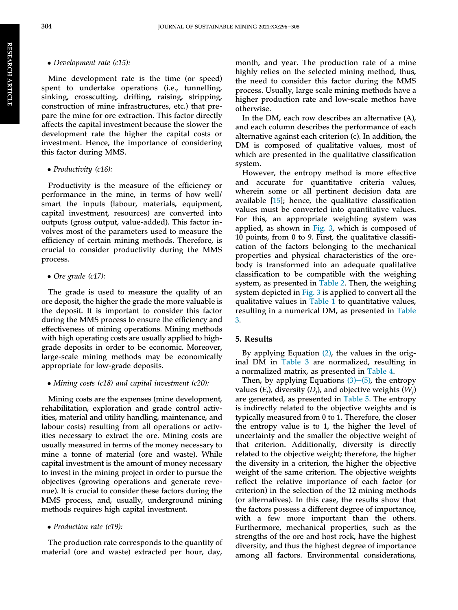#### <span id="page-10-0"></span>• Development rate (c15):

Mine development rate is the time (or speed) spent to undertake operations (i.e., tunnelling, sinking, crosscutting, drifting, raising, stripping, construction of mine infrastructures, etc.) that prepare the mine for ore extraction. This factor directly affects the capital investment because the slower the development rate the higher the capital costs or investment. Hence, the importance of considering this factor during MMS.

#### • Productivity (c16):

Productivity is the measure of the efficiency or performance in the mine, in terms of how well/ smart the inputs (labour, materials, equipment, capital investment, resources) are converted into outputs (gross output, value-added). This factor involves most of the parameters used to measure the efficiency of certain mining methods. Therefore, is crucial to consider productivity during the MMS process.

#### • Ore grade (c17):

The grade is used to measure the quality of an ore deposit, the higher the grade the more valuable is the deposit. It is important to consider this factor during the MMS process to ensure the efficiency and effectiveness of mining operations. Mining methods with high operating costs are usually applied to highgrade deposits in order to be economic. Moreover, large-scale mining methods may be economically appropriate for low-grade deposits.

#### • Mining costs (c18) and capital investment (c20):

Mining costs are the expenses (mine development, rehabilitation, exploration and grade control activities, material and utility handling, maintenance, and labour costs) resulting from all operations or activities necessary to extract the ore. Mining costs are usually measured in terms of the money necessary to mine a tonne of material (ore and waste). While capital investment is the amount of money necessary to invest in the mining project in order to pursue the objectives (growing operations and generate revenue). It is crucial to consider these factors during the MMS process, and, usually, underground mining methods requires high capital investment.

• Production rate (c19):

The production rate corresponds to the quantity of material (ore and waste) extracted per hour, day,

month, and year. The production rate of a mine highly relies on the selected mining method, thus, the need to consider this factor during the MMS process. Usually, large scale mining methods have a higher production rate and low-scale methos have otherwise.

In the DM, each row describes an alternative (A), and each column describes the performance of each alternative against each criterion (c). In addition, the DM is composed of qualitative values, most of which are presented in the qualitative classification system.

However, the entropy method is more effective and accurate for quantitative criteria values, wherein some or all pertinent decision data are available [[15\]](#page-14-0); hence, the qualitative classification values must be converted into quantitative values. For this, an appropriate weighting system was applied, as shown in [Fig. 3,](#page-11-0) which is composed of 10 points, from 0 to 9. First, the qualitative classification of the factors belonging to the mechanical properties and physical characteristics of the orebody is transformed into an adequate qualitative classification to be compatible with the weighing system, as presented in [Table 2](#page-11-0). Then, the weighing system depicted in [Fig. 3](#page-11-0) is applied to convert all the qualitative values in [Table 1](#page-8-0) to quantitative values, resulting in a numerical DM, as presented in [Table](#page-12-0) [3](#page-12-0).

#### 5. Results

By applying Equation [\(2\),](#page-6-0) the values in the original DM in [Table 3](#page-12-0) are normalized, resulting in a normalized matrix, as presented in [Table 4](#page-12-0).

Then, by applying Equations  $(3)$ – $(5)$ , the entropy values  $(E_i)$ , diversity  $(D_i)$ , and objective weights  $(W_i)$ are generated, as presented in [Table 5](#page-12-0). The entropy is indirectly related to the objective weights and is typically measured from 0 to 1. Therefore, the closer the entropy value is to 1, the higher the level of uncertainty and the smaller the objective weight of that criterion. Additionally, diversity is directly related to the objective weight; therefore, the higher the diversity in a criterion, the higher the objective weight of the same criterion. The objective weights reflect the relative importance of each factor (or criterion) in the selection of the 12 mining methods (or alternatives). In this case, the results show that the factors possess a different degree of importance, with a few more important than the others. Furthermore, mechanical properties, such as the strengths of the ore and host rock, have the highest diversity, and thus the highest degree of importance among all factors. Environmental considerations,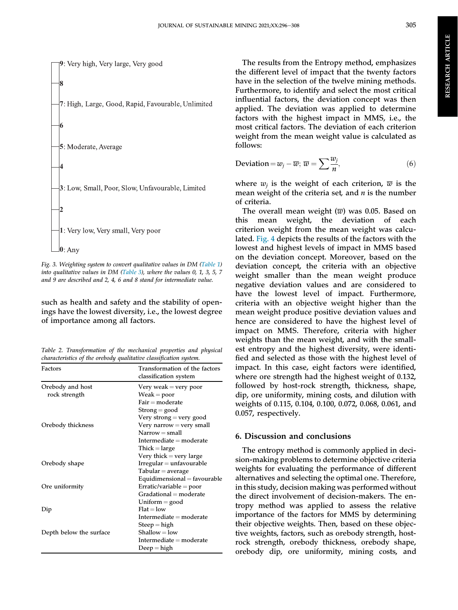<span id="page-11-0"></span>

Fig. 3. Weighting system to convert qualitative values in DM ([Table 1\)](#page-8-0) into qualitative values in DM [\(Table 3](#page-12-0)), where the values 0, 1, 3, 5, 7 and 9 are described and 2, 4, 6 and 8 stand for intermediate value.

such as health and safety and the stability of openings have the lowest diversity, i.e., the lowest degree of importance among all factors.

Table 2. Transformation of the mechanical properties and physical characteristics of the orebody qualitative classification system.

| Factors                 | Transformation of the factors<br>classification system |
|-------------------------|--------------------------------------------------------|
| Orebody and host        | Very weak $=$ very poor                                |
| rock strength           | $Weak = poor$                                          |
|                         | $Fair = moderate$                                      |
|                         | $Strong = good$                                        |
|                         | Very strong = very good                                |
| Orebody thickness       | Very narrow $=$ very small                             |
|                         | $Narrow = small$                                       |
|                         | Intermediate $=$ moderate                              |
|                         | $Thick = large$                                        |
|                         | Very thick = very large                                |
| Orebody shape           | $Irregular = unfavourable$                             |
|                         | $Tabular = average$                                    |
|                         | Equidimensional = $favourable$                         |
| Ore uniformity          | $Erratic/variable = poor$                              |
|                         | $Gradational = moderate$                               |
|                         | Uniform $=$ good                                       |
| Dip                     | $Flat = low$                                           |
|                         | Intermediate $=$ moderate                              |
|                         | $Step = high$                                          |
| Depth below the surface | $Shallow = low$                                        |
|                         | Intermediate $=$ moderate                              |
|                         | $Deep = high$                                          |

The results from the Entropy method, emphasizes the different level of impact that the twenty factors have in the selection of the twelve mining methods. Furthermore, to identify and select the most critical influential factors, the deviation concept was then applied. The deviation was applied to determine factors with the highest impact in MMS, i.e., the most critical factors. The deviation of each criterion weight from the mean weight value is calculated as follows:

$$
Deviation = w_j - \overline{w}; \ \overline{w} = \sum \frac{w_j}{n}, \tag{6}
$$

where  $w_i$  is the weight of each criterion,  $\overline{w}$  is the mean weight of the criteria set, and  $n$  is the number of criteria.

The overall mean weight  $(\overline{w})$  was 0.05. Based on this mean weight, the deviation of each criterion weight from the mean weight was calculated. [Fig. 4](#page-13-0) depicts the results of the factors with the lowest and highest levels of impact in MMS based on the deviation concept. Moreover, based on the deviation concept, the criteria with an objective weight smaller than the mean weight produce negative deviation values and are considered to have the lowest level of impact. Furthermore, criteria with an objective weight higher than the mean weight produce positive deviation values and hence are considered to have the highest level of impact on MMS. Therefore, criteria with higher weights than the mean weight, and with the smallest entropy and the highest diversity, were identified and selected as those with the highest level of impact. In this case, eight factors were identified, where ore strength had the highest weight of 0.132, followed by host-rock strength, thickness, shape, dip, ore uniformity, mining costs, and dilution with weights of 0.115, 0.104, 0.100, 0.072, 0.068, 0.061, and 0.057, respectively.

#### 6. Discussion and conclusions

The entropy method is commonly applied in decision-making problems to determine objective criteria weights for evaluating the performance of different alternatives and selecting the optimal one. Therefore, in this study, decision making was performed without the direct involvement of decision-makers. The entropy method was applied to assess the relative importance of the factors for MMS by determining their objective weights. Then, based on these objective weights, factors, such as orebody strength, hostrock strength, orebody thickness, orebody shape, orebody dip, ore uniformity, mining costs, and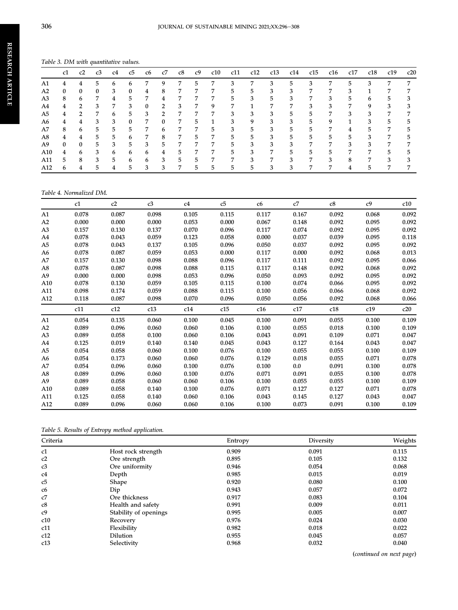<span id="page-12-0"></span>Table 3. DM with quantitative values.

|     | c1           | c2            | c3 | c4 | c5 | c6 | c7            | c8 | c9 | c10 | c11 | c12 | c13 | c14 | c15 | c16 | c17 | c18 | c19 | c20 |
|-----|--------------|---------------|----|----|----|----|---------------|----|----|-----|-----|-----|-----|-----|-----|-----|-----|-----|-----|-----|
| A1  |              |               |    |    |    |    |               |    | э  |     |     |     | O.  |     |     |     | ר   |     |     |     |
| A2  | $\mathbf{0}$ | $\bf{0}$      | 0  | 3  | 0  | 4  | 8             |    |    |     | 5.  | 5   | 3   |     |     |     |     |     |     |     |
| A3  | 8            | 6             | 7  | 4  | 5. | 7  | 4             |    |    |     | 5.  | 3   | 5.  | 3   | 7   | 3   | 5   | 6   | 5   |     |
| A4  | 4            | $\mathcal{P}$ | 3  | 7  | 3  | 0  | 2             | 3  |    | 9   |     |     | 7   |     | 3   | 3   | 7   | 9   | З   |     |
| A5  | 4            | っ             | 7  | h  | 5. | 3  | $\mathcal{P}$ |    |    |     | 3   | 3   | 3   | 5.  |     |     | 3   |     |     |     |
| A6  | 4            | 4             | 3  | 3  | 0  | 7  | 0             |    | 5  |     | 3   | 9   | 3   | 3   | 5   | 9   |     | .1  | 5   |     |
| A7  | 8            | 6             | 5  | 5. | 5. |    | 6             | 7  | 7  | 5.  | 3   | 5   | 3   | 5   | 5.  | 7   | 4   | h   | 7   |     |
| A8  | 4            | 4             | 5. | 5. | 6  |    | 8             |    | 5  |     | 5.  | 5   | 3   | 5.  | 5.  | 5   | 5   |     |     |     |
| A9  | $\Omega$     | $\mathbf{0}$  | 5  | 3  | 5. | 3  | 5             |    |    |     | 5.  | 3   | 3   | 3   |     |     | 3   | 3   |     |     |
| A10 | 4            | 6             | 3  | h  | 6  | 6  | 4             | 5. |    | 7   | 5   | 3   | 7   | 5   | 5   | 5   | 7   |     | 5   |     |
| A11 | 5            | 8             | 3  | 5  | 6  | 6  | 3             | 5. | 5  |     | 7   | з   | 7   | 3   |     | 3   | 8   |     | З   |     |
| A12 | h            |               | h  |    | 5. |    | 3             |    | 5. | 5   | 5   | 5   | 3   |     |     |     |     |     |     |     |

#### Table 4. Normalized DM.

|                | c1    | c2    | c3    | c4    | c5    | c6    | c7      | c8    | c <sub>9</sub> | c10   |
|----------------|-------|-------|-------|-------|-------|-------|---------|-------|----------------|-------|
| A1             | 0.078 | 0.087 | 0.098 | 0.105 | 0.115 | 0.117 | 0.167   | 0.092 | 0.068          | 0.092 |
| A2             | 0.000 | 0.000 | 0.000 | 0.053 | 0.000 | 0.067 | 0.148   | 0.092 | 0.095          | 0.092 |
| A <sub>3</sub> | 0.157 | 0.130 | 0.137 | 0.070 | 0.096 | 0.117 | 0.074   | 0.092 | 0.095          | 0.092 |
| A4             | 0.078 | 0.043 | 0.059 | 0.123 | 0.058 | 0.000 | 0.037   | 0.039 | 0.095          | 0.118 |
| A5             | 0.078 | 0.043 | 0.137 | 0.105 | 0.096 | 0.050 | 0.037   | 0.092 | 0.095          | 0.092 |
| A6             | 0.078 | 0.087 | 0.059 | 0.053 | 0.000 | 0.117 | 0.000   | 0.092 | 0.068          | 0.013 |
| A7             | 0.157 | 0.130 | 0.098 | 0.088 | 0.096 | 0.117 | 0.111   | 0.092 | 0.095          | 0.066 |
| A8             | 0.078 | 0.087 | 0.098 | 0.088 | 0.115 | 0.117 | 0.148   | 0.092 | 0.068          | 0.092 |
| A9             | 0.000 | 0.000 | 0.098 | 0.053 | 0.096 | 0.050 | 0.093   | 0.092 | 0.095          | 0.092 |
| A10            | 0.078 | 0.130 | 0.059 | 0.105 | 0.115 | 0.100 | 0.074   | 0.066 | 0.095          | 0.092 |
| A11            | 0.098 | 0.174 | 0.059 | 0.088 | 0.115 | 0.100 | 0.056   | 0.066 | 0.068          | 0.092 |
| A12            | 0.118 | 0.087 | 0.098 | 0.070 | 0.096 | 0.050 | 0.056   | 0.092 | 0.068          | 0.066 |
|                | c11   | c12   | c13   | c14   | c15   | c16   | c17     | c18   | c19            | c20   |
| A1             | 0.054 | 0.135 | 0.060 | 0.100 | 0.045 | 0.100 | 0.091   | 0.055 | 0.100          | 0.109 |
| A2             | 0.089 | 0.096 | 0.060 | 0.060 | 0.106 | 0.100 | 0.055   | 0.018 | 0.100          | 0.109 |
| A <sub>3</sub> | 0.089 | 0.058 | 0.100 | 0.060 | 0.106 | 0.043 | 0.091   | 0.109 | 0.071          | 0.047 |
| A4             | 0.125 | 0.019 | 0.140 | 0.140 | 0.045 | 0.043 | 0.127   | 0.164 | 0.043          | 0.047 |
| A5             | 0.054 | 0.058 | 0.060 | 0.100 | 0.076 | 0.100 | 0.055   | 0.055 | 0.100          | 0.109 |
| A6             | 0.054 | 0.173 | 0.060 | 0.060 | 0.076 | 0.129 | 0.018   | 0.055 | 0.071          | 0.078 |
| A7             | 0.054 | 0.096 | 0.060 | 0.100 | 0.076 | 0.100 | $0.0\,$ | 0.091 | 0.100          | 0.078 |
| A8             | 0.089 | 0.096 | 0.060 | 0.100 | 0.076 | 0.071 | 0.091   | 0.055 | 0.100          | 0.078 |
| A9             | 0.089 | 0.058 | 0.060 | 0.060 | 0.106 | 0.100 | 0.055   | 0.055 | 0.100          | 0.109 |
| A10            | 0.089 | 0.058 | 0.140 | 0.100 | 0.076 | 0.071 | 0.127   | 0.127 | 0.071          | 0.078 |
| A11            | 0.125 | 0.058 | 0.140 | 0.060 | 0.106 | 0.043 | 0.145   | 0.127 | 0.043          | 0.047 |
| A12            | 0.089 | 0.096 | 0.060 | 0.060 | 0.106 | 0.100 | 0.073   | 0.091 | 0.100          | 0.109 |

Table 5. Results of Entropy method application.

| Criteria       |                       | Entropy | Diversity | Weights |
|----------------|-----------------------|---------|-----------|---------|
| c1             | Host rock strength    | 0.909   | 0.091     | 0.115   |
| c2             | Ore strength          | 0.895   | 0.105     | 0.132   |
| c3             | Ore uniformity        | 0.946   | 0.054     | 0.068   |
| c4             | Depth                 | 0.985   | 0.015     | 0.019   |
| c5             | Shape                 | 0.920   | 0.080     | 0.100   |
| c6             | Dip                   | 0.943   | 0.057     | 0.072   |
| c7             | Ore thickness         | 0.917   | 0.083     | 0.104   |
| c8             | Health and safety     | 0.991   | 0.009     | 0.011   |
| c <sub>9</sub> | Stability of openings | 0.995   | 0.005     | 0.007   |
| c10            | Recovery              | 0.976   | 0.024     | 0.030   |
| c11            | Flexibility           | 0.982   | 0.018     | 0.022   |
| c12            | <b>Dilution</b>       | 0.955   | 0.045     | 0.057   |
| c13            | Selectivity           | 0.968   | 0.032     | 0.040   |

(continued on next page)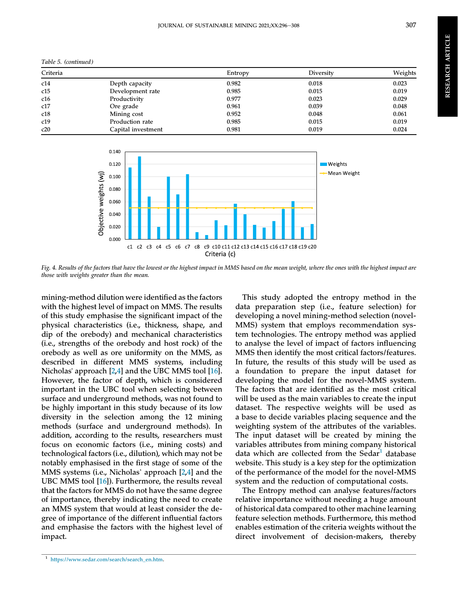<span id="page-13-0"></span>

| Table 5. (continued) |  |  |  |
|----------------------|--|--|--|
|----------------------|--|--|--|

| Criteria |                    | Entropy | Diversity | Weights |  |  |  |
|----------|--------------------|---------|-----------|---------|--|--|--|
| c14      | Depth capacity     | 0.982   | 0.018     | 0.023   |  |  |  |
| c15      | Development rate   | 0.985   | 0.015     | 0.019   |  |  |  |
| c16      | Productivity       | 0.977   | 0.023     | 0.029   |  |  |  |
| c17      | Ore grade          | 0.961   | 0.039     | 0.048   |  |  |  |
| c18      | Mining cost        | 0.952   | 0.048     | 0.061   |  |  |  |
| c19      | Production rate    | 0.985   | 0.015     | 0.019   |  |  |  |
| c20      | Capital investment | 0.981   | 0.019     | 0.024   |  |  |  |
|          |                    |         |           |         |  |  |  |



Fig. 4. Results of the factors that have the lowest or the highest impact in MMS based on the mean weight, where the ones with the highest impact are those with weights greater than the mean.

mining-method dilution were identified as the factors with the highest level of impact on MMS. The results of this study emphasise the significant impact of the physical characteristics (i.e., thickness, shape, and dip of the orebody) and mechanical characteristics (i.e., strengths of the orebody and host rock) of the orebody as well as ore uniformity on the MMS, as described in different MMS systems, including Nicholas' approach [[2,4](#page-14-0)] and the UBC MMS tool [[16](#page-14-0)]. However, the factor of depth, which is considered important in the UBC tool when selecting between surface and underground methods, was not found to be highly important in this study because of its low diversity in the selection among the 12 mining methods (surface and underground methods). In addition, according to the results, researchers must focus on economic factors (i.e., mining costs) and technological factors (i.e., dilution), which may not be notably emphasised in the first stage of some of the MMS systems (i.e., Nicholas' approach [\[2,4](#page-14-0)] and the UBC MMS tool [[16\]](#page-14-0)). Furthermore, the results reveal that the factors for MMS do not have the same degree of importance, thereby indicating the need to create an MMS system that would at least consider the degree of importance of the different influential factors and emphasise the factors with the highest level of impact.

This study adopted the entropy method in the data preparation step (i.e., feature selection) for developing a novel mining-method selection (novel-MMS) system that employs recommendation system technologies. The entropy method was applied to analyse the level of impact of factors influencing MMS then identify the most critical factors/features. In future, the results of this study will be used as a foundation to prepare the input dataset for developing the model for the novel-MMS system. The factors that are identified as the most critical will be used as the main variables to create the input dataset. The respective weights will be used as a base to decide variables placing sequence and the weighting system of the attributes of the variables. The input dataset will be created by mining the variables attributes from mining company historical data which are collected from the Sedar<sup>1</sup> database website. This study is a key step for the optimization of the performance of the model for the novel-MMS system and the reduction of computational costs.

The Entropy method can analyse features/factors relative importance without needing a huge amount of historical data compared to other machine learning feature selection methods. Furthermore, this method enables estimation of the criteria weights without the direct involvement of decision-makers, thereby

<sup>1</sup> https://www.sedar.com/search/search\_en.htm.